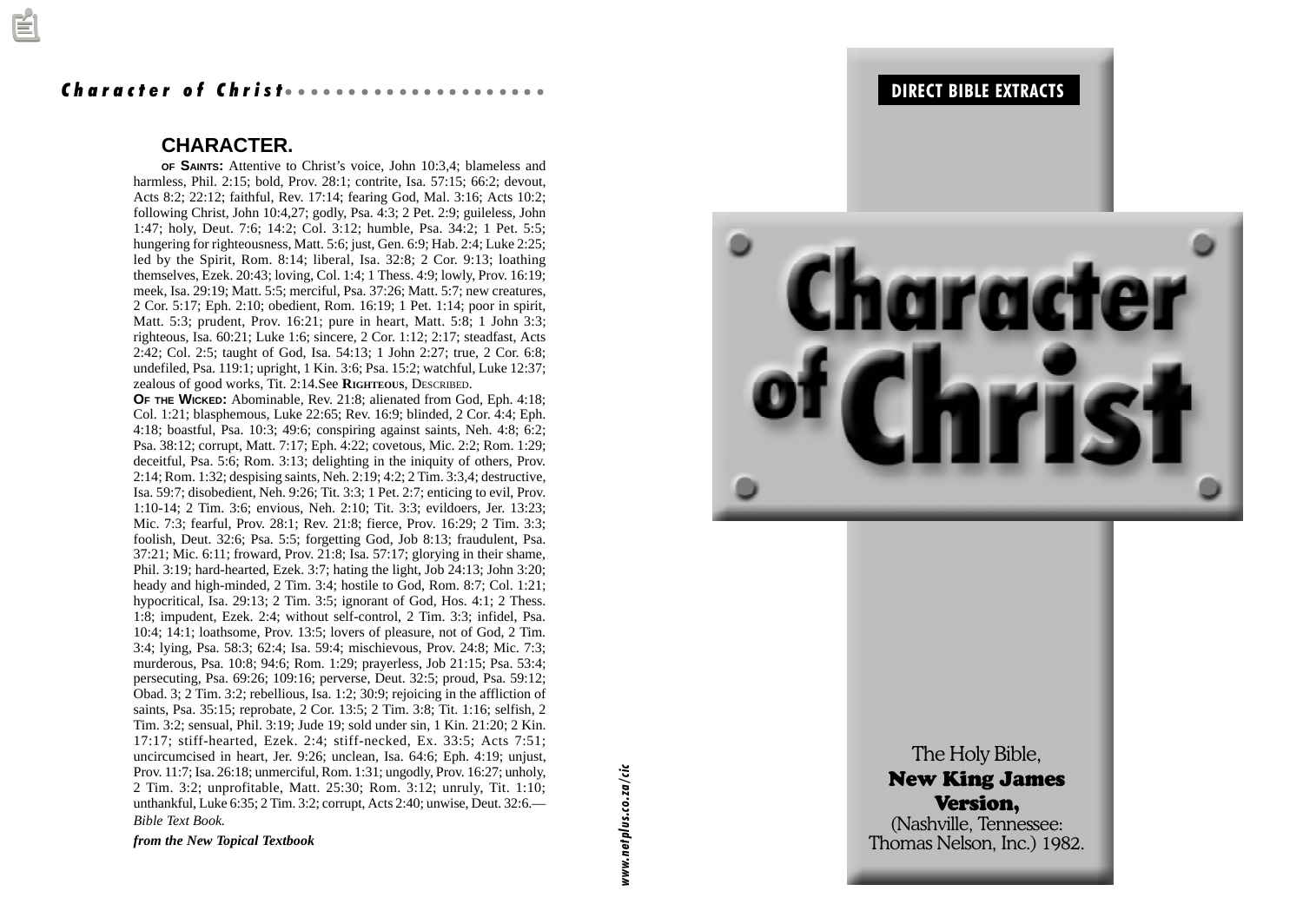#### Character of Christ *aaaaa*a

#### **CHARACTER.**

**OF SAINTS :** Attentive to Christ's voice, John 10:3,4; blameless and harmless, Phil. 2:15; bold, Prov. 28:1; contrite, Isa. 57:15; 66:2; devout, Acts 8:2; 22:12; faithful, Rev. 17:14; fearing God, Mal. 3:16; Acts 10:2; following Christ, John 10:4,27; godly, Psa. 4:3; 2 Pet. 2:9; guileless, John 1:47; holy, Deut. 7:6; 14:2; Col. 3:12; humble, Psa. 34:2; 1 Pet. 5:5; hungering for righteousness, Matt. 5:6; just, Gen. 6:9; Hab. 2:4; Luke 2:25; led by the Spirit, Rom. 8:14; liberal, Isa. 32:8; 2 Cor. 9:13; loathing themselves, Ezek. 20:43; loving, Col. 1:4; 1 Thess. 4:9; lowly, Prov. 16:19; meek, Isa. 29:19; Matt. 5:5; merciful, Psa. 37:26; Matt. 5:7; new creatures, 2 Cor. 5:17; Eph. 2:10; obedient, Rom. 16:19; 1 Pet. 1:14; poor in spirit, Matt. 5:3; prudent, Prov. 16:21; pure in heart, Matt. 5:8; 1 John 3:3; righteous, Isa. 60:21; Luke 1:6; sincere, 2 Cor. 1:12; 2:17; steadfast, Acts 2:42; Col. 2:5; taught of God, Isa. 54:13; 1 John 2:27; true, 2 Cor. 6:8; undefiled, Psa. 119:1; upright, 1 Kin. 3:6; Psa. 15:2; watchful, Luke 12:37; zealous of good works, Tit. 2:14.See **RIGHTEOUS**, DESCRIBED .

Prov. 11:7; Isa. 26:18; unmerciful, Rom. 1:31; ungodly, Prov. 16:27; unholy,<br>
2 Tim. 3:2; unprofitable, Matt. 25:30; Rom. 3:12; unruly, Tit. 1:10;<br>
unthankful, Luke 6:35; 2 Tim. 3:2; corrupt, Acts 2:40; unwise, Deut. 32:6 **O F THE WICKED :** Abominable, Rev. 21:8; alienated from God, Eph. 4:18; Col. 1:21; blasphemous, Luke 22:65; Rev. 16:9; blinded, 2 Cor. 4:4; Eph. 4:18; boastful, Psa. 10:3; 49:6; conspiring against saints, Neh. 4:8; 6:2; Psa. 38:12; corrupt, Matt. 7:17; Eph. 4:22; covetous, Mic. 2:2; Rom. 1:29; deceitful, Psa. 5:6; Rom. 3:13; delighting in the iniquity of others, Prov. 2:14; Rom. 1:32; despising saints, Neh. 2:19; 4:2; 2 Tim. 3:3,4; destructive, Isa. 59:7; disobedient, Neh. 9:26; Tit. 3:3; 1 Pet. 2:7; enticing to evil, Prov. 1:10-14; 2 Tim. 3:6; envious, Neh. 2:10; Tit. 3:3; evildoers, Jer. 13:23; Mic. 7:3; fearful, Prov. 28:1; Rev. 21:8; fierce, Prov. 16:29; 2 Tim. 3:3; foolish, Deut. 32:6; Psa. 5:5; forgetting God, Job 8:13; fraudulent, Psa. 37:21; Mic. 6:11; froward, Prov. 21:8; Isa. 57:17; glorying in their shame, Phil. 3:19; hard-hearted, Ezek. 3:7; hating the light, Job 24:13; John 3:20; heady and high-minded, 2 Tim. 3:4; hostile to God, Rom. 8:7; Col. 1:21; hypocritical, Isa. 29:13; 2 Tim. 3:5; ignorant of God, Hos. 4:1; 2 Thess. 1:8; impudent, Ezek. 2:4; without self-control, 2 Tim. 3:3; infidel, Psa. 10:4; 14:1; loathsome, Prov. 13:5; lovers of pleasure, not of God, 2 Tim. 3:4; lying, Psa. 58:3; 62:4; Isa. 59:4; mischievous, Prov. 24:8; Mic. 7:3; murderous, Psa. 10:8; 94:6; Rom. 1:29; prayerless, Job 21:15; Psa. 53:4; persecuting, Psa. 69:26; 109:16; perverse, Deut. 32:5; proud, Psa. 59:12; Obad. 3; 2 Tim. 3:2; rebellious, Isa. 1:2; 30:9; rejoicing in the affliction of saints, Psa. 35:15; reprobate, 2 Cor. 13:5; 2 Tim. 3:8; Tit. 1:16; selfish, 2 Tim. 3:2; sensual, Phil. 3:19; Jude 19; sold under sin, 1 Kin. 21:20; 2 Kin. 17:17; stiff-hearted, Ezek. 2:4; stiff-necked, Ex. 33:5; Acts 7:51; uncircumcised in heart, Jer. 9:26; unclean, Isa. 64:6; Eph. 4:19; unjust, Prov. 11:7; Isa. 26:18; unmerciful, Rom. 1:31; ungodly, Prov. 16:27; unholy, 2 Tim. 3:2; unprofitable, Matt. 25:30; Rom. 3:12; unruly, Tit. 1:10; unthankful, Luke 6:35; 2 Tim. 3:2; corrupt, Acts 2:40; unwise, Deut. 32:6.— *Bible Text Book.*

*from the New Topical Textbook*



The New I V (Nashvi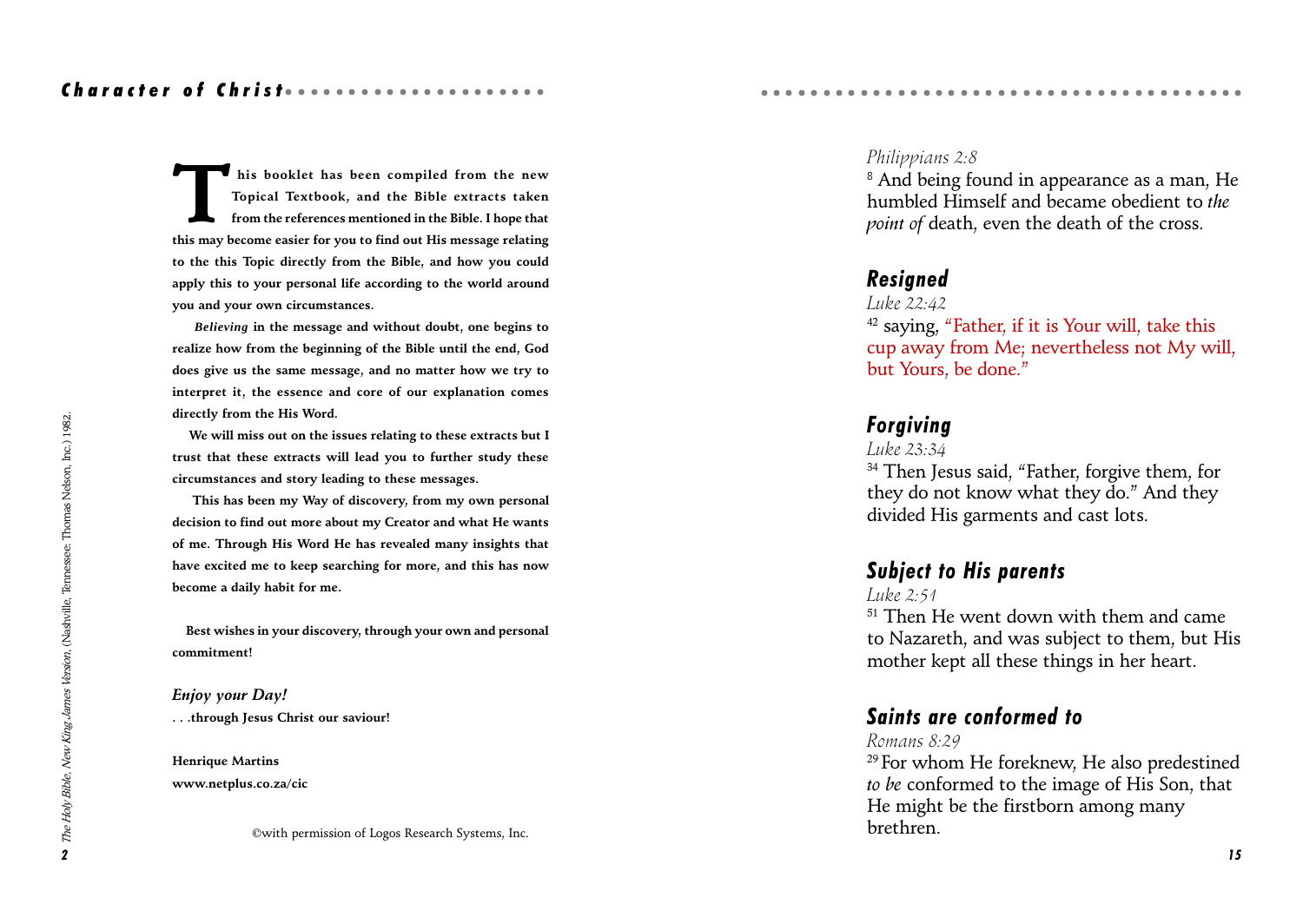### Character of Christ ......................

This booklet has been compiled from the new<br>Topical Textbook, and the Bible extracts taken<br>from the references mentioned in the Bible. I hope that<br>this may become easier for you to find out His message relating Topical Textbook, and the Bible extracts taken from the references mentioned in the Bible. I hope that this may become easier for you to find out His message relating to the this Topic directly from the Bible, and how you could apply this to your personal life according to the world around you and your own circumstances.

 *Believing* in the message and without doubt, one begins to realize how from the beginning of the Bible until the end, God does give us the same message, and no matter how we try to interpret it, the essence and core of our explanation comes directly from the His Word.

 We will miss out on the issues relating to these extracts but I trust that these extracts will lead you to further study these circumstances and story leading to these messages.

 This has been my Way of discovery, from my own personal decision to find out more about my Creator and what He wants of me. Through His Word He has revealed many insights that have excited me to keep searching for more, and this has now become a daily habit for me.

 Best wishes in your discovery, through your own and personal commitment!

Enjoy your Day! . . .through Jesus Christ our saviour!

Henrique Martins www.netplus.co.za/cic

©with permission of Logos Research Systems, Inc. brethren.

#### Philippians 2:8

 $^{\rm 8}$  And being found in appearance as a man, He humbled Himself and became obedient to the point of death, even the death of the cross.

aaaaaaaaaaaaaaaaaaaaaaaaaaaaaaaaaa aaaaa

### Resigned

Luke 22:42

 $42$  saying, "Father, if it is Your will, take this cup away from Me; nevertheless not My will, but Yours, be done.

## Forgiving

Luke 23:34

<sup>34</sup> Then Jesus said, "Father, forgive them, for they do not know what they do." And they divided His garments and cast lots.

### Subject to His parents

Luke 2:51

<sup>51</sup> Then He went down with them and came to Nazareth, and was subject to them, but His mother kept all these things in her heart.

## Saints are conformed to

#### Romans 8:29

<sup>29</sup> For whom He foreknew, He also predestined to be conformed to the image of His Son, that He might be the firstborn among many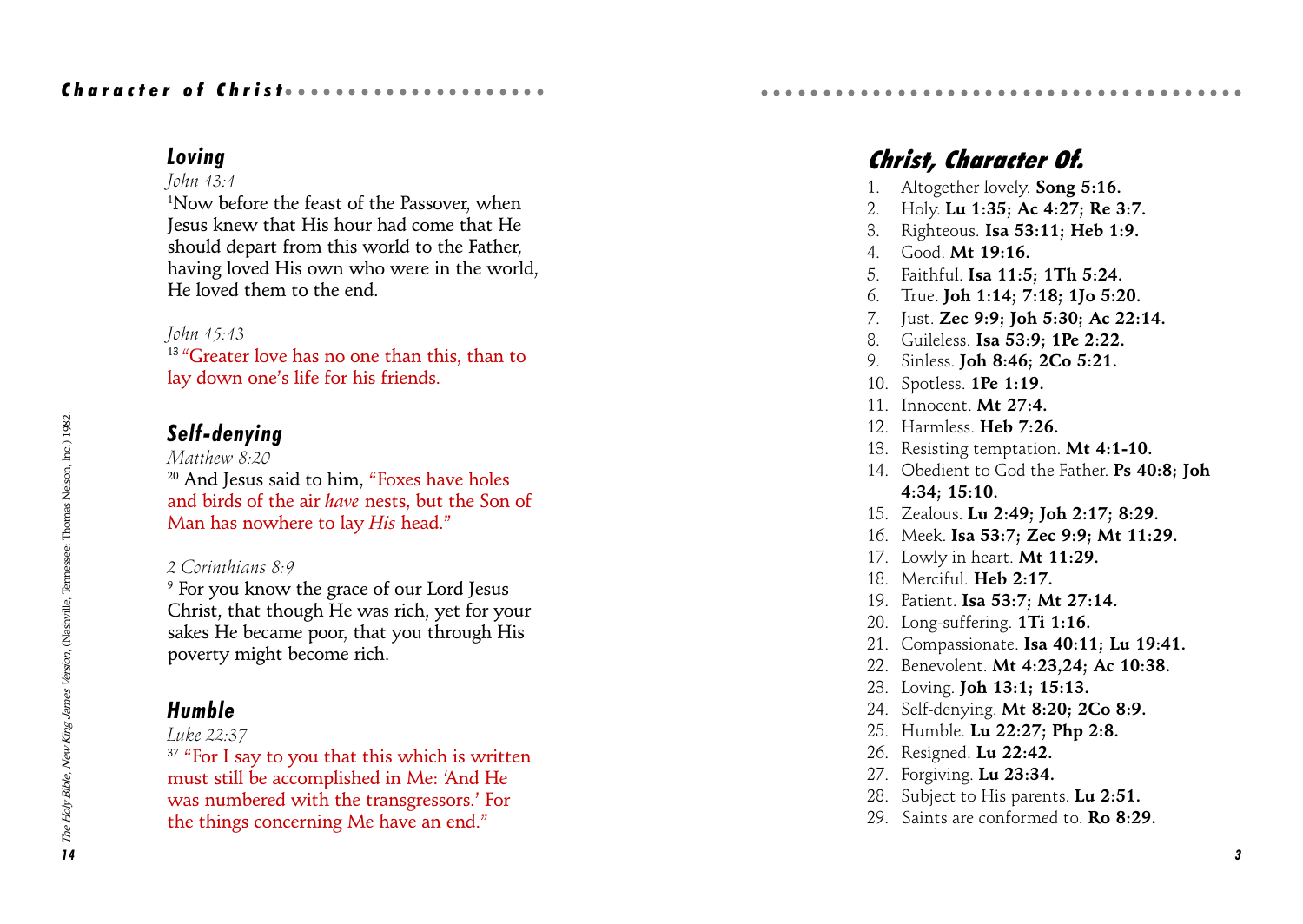## Character of Christ *aaaaaaaaaaaa*aaaaaaa

## Loving

### John 13:1

1 Now before the feast of the Passover, when Jesus knew that His hour had come that He should depart from this world to the Father, having loved His own who were in the world, He loved them to the end.

### John 15:13

<sup>13</sup> "Greater love has no one than this, than to lay down one's life for his friends.

## Self-denying

Matthew 8.20 <sup>20</sup> And Jesus said to him, "Foxes have holes and birds of the air have nests, but the Son of Man has nowhere to lay His head."

### 2 Corinthians 8:9

9 For you know the grace of our Lord Jesus Christ, that though He was rich, yet for your sakes He became poor, that you through His poverty might become rich.

## Humble

### Luke 22:37

 $37$  "For I say to you that this which is written must still be accomplished in Me: And He was numbered with the transgressors.' For the things concerning Me have an end.

# Christ, Character Of.

- 1. Altogether lovely. Song 5:16.
- 2. Holy. Lu 1:35; Ac 4:27; Re 3:7.

aaaaaaaaaaaaaaaaaaaaaaaaaaaaaaaaaa aaaaa

- 3. Righteous. Isa 53:11; Heb 1:9.
- 4. Good. Mt 19:16.
- 5. Faithful. Isa 11:5; 1Th 5:24.
- 6. True. Joh 1:14; 7:18; 1Jo 5:20.
- 7. Just. Zec 9:9; Joh 5:30; Ac 22:14.
- 8. Guileless. Isa 53:9; 1Pe 2:22.
- 9. Sinless. Joh 8:46; 2Co 5:21.
- 10. Spotless. 1Pe 1:19.
- 11 Innocent **Mt 27:4**
- 12. Harmless. Heb 7:26.
- 13. Resisting temptation. **Mt 4:1-10.**
- 14. Obedient to God the Father. Ps 40:8: Joh 4:34; 15:10.
- 15. Zealous. Lu 2:49; Joh 2:17; 8:29.
- 16. Meek. Isa 53:7; Zec 9:9; Mt 11:29.
- 17. Lowly in heart. Mt 11:29.
- 18. Merciful. Heb 2:17.
- 19. Patient. Isa 53:7; Mt 27:14.
- 20. Long-suffering. 1Ti 1:16.
- 21. Compassionate. Isa 40:11; Lu 19:41.
- 22. Benevolent. Mt 4:23,24; Ac 10:38.
- 23. Loving. Joh 13:1; 15:13.
- 24. Self-denying. Mt 8:20; 2Co 8:9.
- 25. Humble. Lu 22:27; Php 2:8.
- 26. Resigned. Lu 22:42.
- 27. Forgiving. Lu 23:34.
- 28. Subject to His parents. Lu 2:51.
- 29. Saints are conformed to **Ro 8:29.**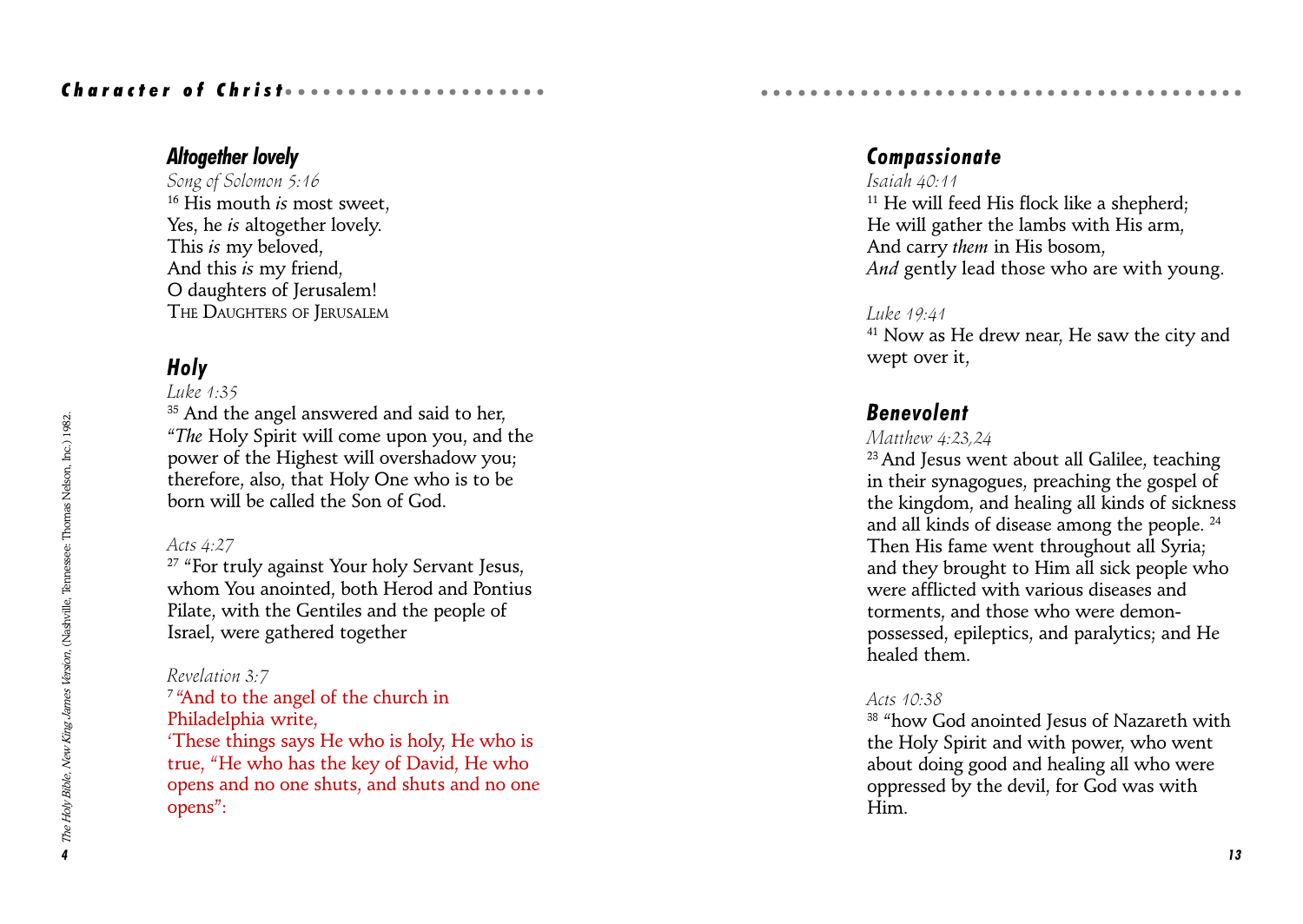## Character of Christ *and accessoring*

## Altogether lovely

Song of Solomon 5:16  $16$  His mouth is most sweet. Yes, he *is* altogether lovely. This is my beloved, And this is my friend, O daughters of Jerusalem! THE DAUGHTERS OF JERUSALEM

## Holy

#### Luke  $1:35$

<sup>35</sup> And the angel answered and said to her, The Holy Spirit will come upon you, and the power of the Highest will overshadow you; therefore, also, that Holy One who is to be born will be called the Son of God.

### Acts 4:27

<sup>27</sup> "For truly against Your holy Servant Jesus, whom You anointed, both Herod and Pontius Pilate, with the Gentiles and the people of Israel, were gathered together

### Revelation 3:7

<sup>7</sup> "And to the angel of the church in Philadelphia write, These things says He who is holy, He who is true, "He who has the key of David, He who opens and no one shuts, and shuts and no one opens":

## Compassionate

### Isaiah  $40.11$

 $11$  He will feed His flock like a shepherd; He will gather the lambs with His arm, And carry them in His bosom, And gently lead those who are with young.

aaaaaaaaaaaaaaaaaaaaaaaaaaaaaaaaaa aaaaa

#### Luke 19:41

<sup>41</sup> Now as He drew near, He saw the city and wept over it,

## Benevolent

### Matthew 4:23,24

23 And Jesus went about all Galilee, teaching in their synagogues, preaching the gospel of the kingdom, and healing all kinds of sickness and all kinds of disease among the people. 24 Then His fame went throughout all Syria; and they brought to Him all sick people who were afflicted with various diseases and torments, and those who were demonpossessed, epileptics, and paralytics; and He healed them.

### Acts 10:38

<sup>38</sup> "how God anointed Jesus of Nazareth with the Holy Spirit and with power, who went about doing good and healing all who were oppressed by the devil, for God was with Him.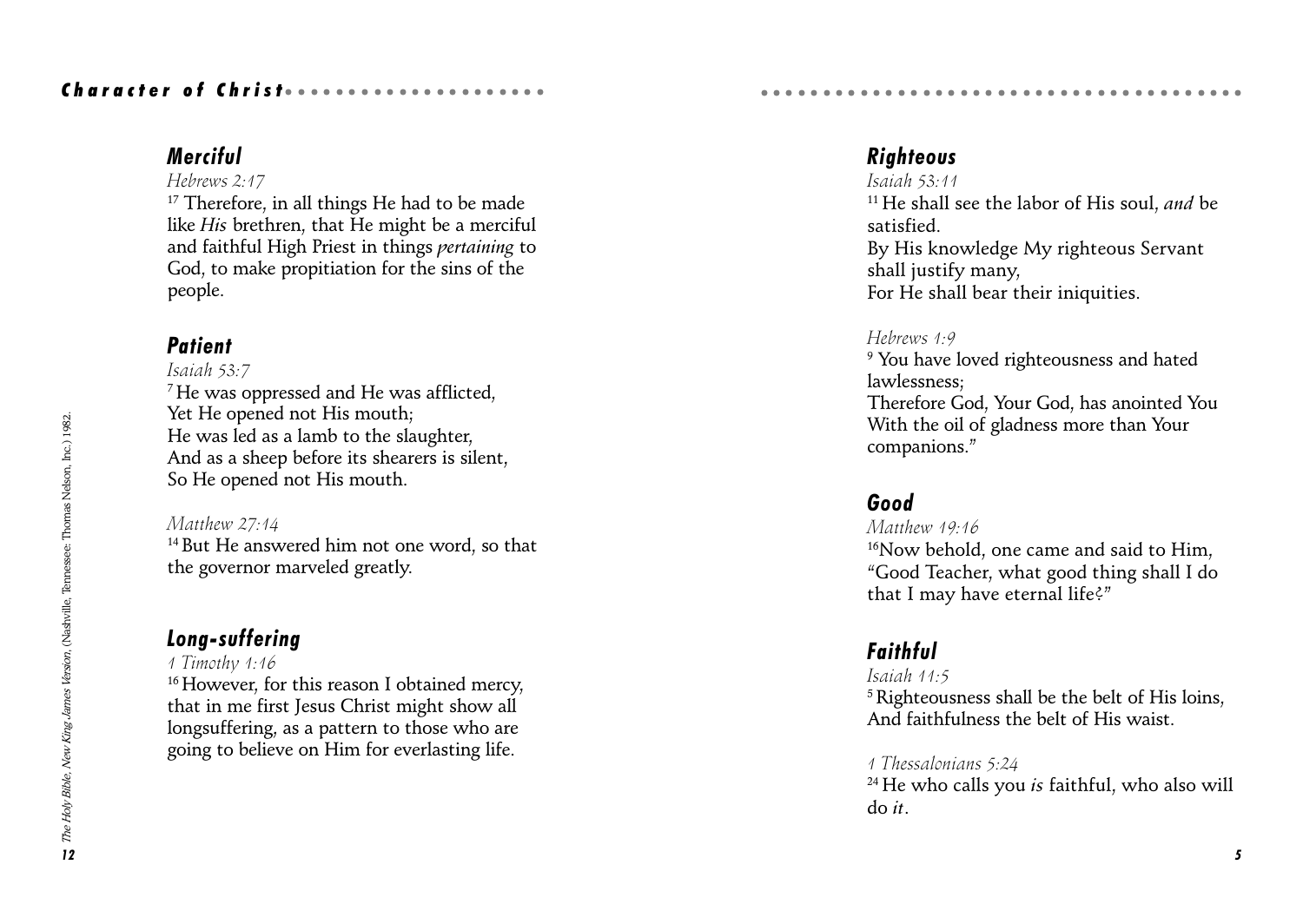## Character of Christ *aaaaaaaaaa*aaaaaaa

## Merciful

#### Hebrews 2:17

<sup>17</sup> Therefore, in all things He had to be made like His brethren, that He might be a merciful and faithful High Priest in things pertaining to God, to make propitiation for the sins of the people.

## **Patient**

### Isaiah 53:7 7 He was oppressed and He was afflicted, Yet He opened not His mouth; He was led as a lamb to the slaughter, And as a sheep before its shearers is silent, So He opened not His mouth.

Matthew 27:14 14 But He answered him not one word, so that the governor marveled greatly.

## Long-suffering

### 1 Timothy 1:16

<sup>16</sup> However, for this reason I obtained mercy, that in me first Jesus Christ might show all longsuffering, as a pattern to those who are going to believe on Him for everlasting life.

## **Righteous**

Isaiah 53:11  $11$  He shall see the labor of His soul, and be satisfied. By His knowledge My righteous Servant shall justify many, For He shall bear their iniquities.

aaaaaaaaaaaaaaaaaaaaaaaaaaaaaaaaaa aaaaa

### Hebrews 1:9

 $^9$  You have loved righteousness and hated lawlessness; Therefore God, Your God, has anointed You With the oil of gladness more than Your companions.

## Good

### Matthew 19:16 <sup>16</sup>Now behold, one came and said to Him, Good Teacher, what good thing shall I do that I may have eternal life?"

## Faithful

Isaiah 11:5 5 Righteousness shall be the belt of His loins, And faithfulness the belt of His waist.

### 1 Thessalonians 5:24

 $24$  He who calls you is faithful, who also will do it.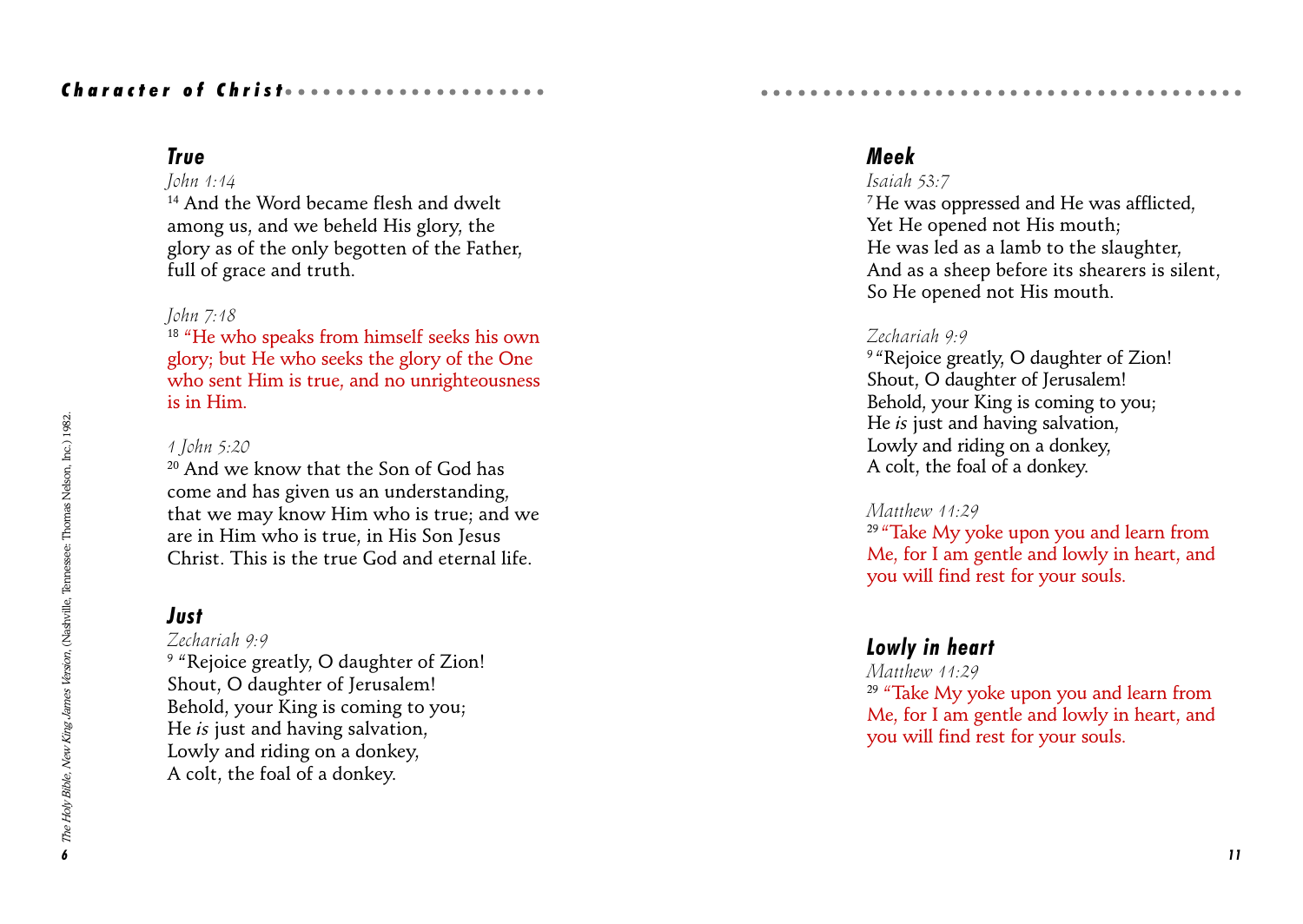## Character of Christ *and accessoring*

## True

### John 1:14

14 And the Word became flesh and dwelt among us, and we beheld His glory, the glory as of the only begotten of the Father, full of grace and truth.

### John 7:18

<sup>18</sup> "He who speaks from himself seeks his own glory; but He who seeks the glory of the One who sent Him is true, and no unrighteousness is in Him.

### 1 John 5:20

20 And we know that the Son of God has come and has given us an understanding, that we may know Him who is true; and we are in Him who is true, in His Son Jesus Christ. This is the true God and eternal life.

### Just

#### Zechariah 9:9

<sup>9</sup> "Rejoice greatly, O daughter of Zion! Shout, O daughter of Jerusalem! Behold, your King is coming to you; He is just and having salvation, Lowly and riding on a donkey, A colt, the foal of a donkey.

### Meek

### Isaiah 53:7

7 He was oppressed and He was afflicted, Yet He opened not His mouth; He was led as a lamb to the slaughter, And as a sheep before its shearers is silent, So He opened not His mouth.

aaaaaaaaaaaaaaaaaaaaaaaaaaaaaaaaaa aaaaa

### Zechariah 9:9

<sup>9 "</sup>Rejoice greatly, O daughter of Zion! Shout, O daughter of Jerusalem! Behold, your King is coming to you; He is just and having salvation, Lowly and riding on a donkey, A colt, the foal of a donkey.

#### Matthew 11:29

<sup>29</sup> "Take My yoke upon you and learn from Me, for I am gentle and lowly in heart, and you will find rest for your souls.

### Lowly in heart

Matthew 11:29

 $29$  "Take My yoke upon you and learn from Me, for I am gentle and lowly in heart, and you will find rest for your souls.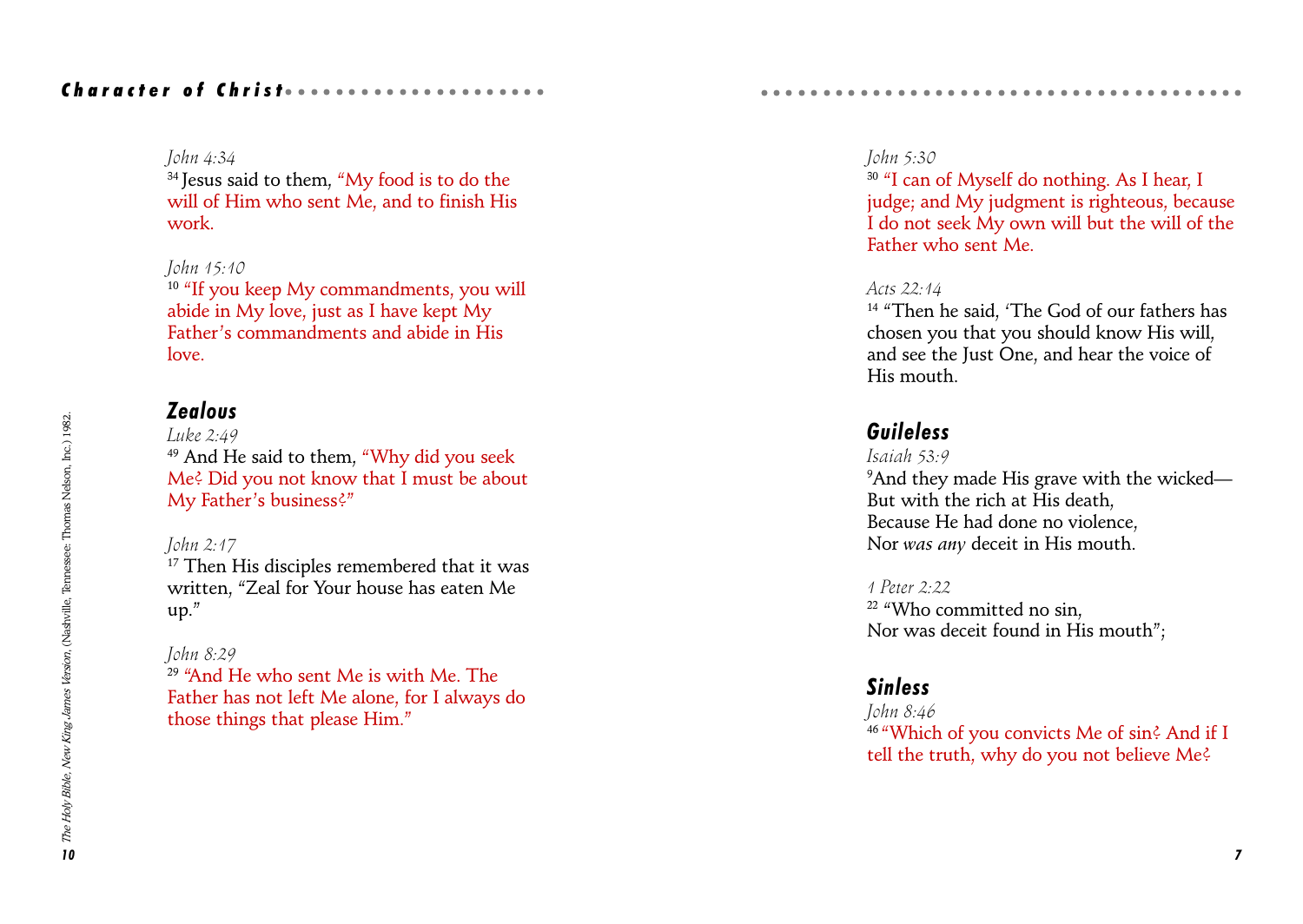### Character of Christ *aaaaaaaaaaaa*aaaaaaa

#### John 4:34

<sup>34</sup> Jesus said to them, "My food is to do the will of Him who sent Me, and to finish His work.

### John 15:10

 $10$  "If you keep My commandments, you will abide in My love, just as I have kept My Father's commandments and abide in His  $10*ve*$ 

## Zealous

Luke  $2:49$ <sup>49</sup> And He said to them, "Why did you seek Me? Did you not know that I must be about My Father's business?"

### John 2:17

<sup>17</sup> Then His disciples remembered that it was written, "Zeal for Your house has eaten Me  $up."$ 

### John 8:29

 $29$  "And He who sent Me is with Me. The Father has not left Me alone, for I always do those things that please Him.

### John 5:30

<sup>30</sup> "I can of Myself do nothing. As I hear, I judge; and My judgment is righteous, because I do not seek My own will but the will of the Father who sent Me.

aaaaaaaaaaaaaaaaaaaaaaaaaaaaaaaaaa aaaaa

### Acts 22:14

<sup>14</sup> "Then he said. 'The God of our fathers has chosen you that you should know His will, and see the Just One, and hear the voice of His mouth.

## Guileless

### Isaiah 53:9

 $^9$ And they made His grave with the wicked— But with the rich at His death, Because He had done no violence, Nor was any deceit in His mouth.

1 Peter 2:22 <sup>22</sup> "Who committed no sin. Nor was deceit found in His mouth";

## Sinless

John 8:46 <sup>46</sup> "Which of you convicts Me of sin? And if I tell the truth, why do you not believe Me?